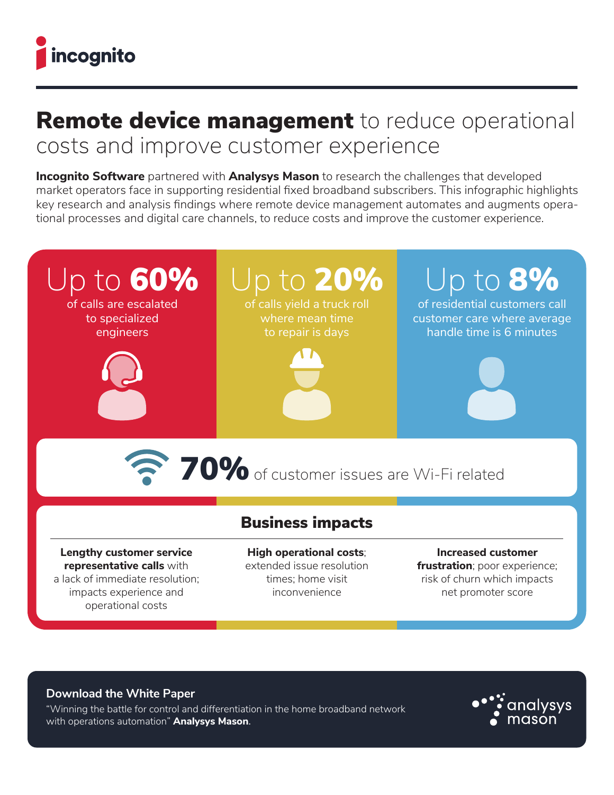

## Remote device management to reduce operational costs and improve customer experience

**Incognito Software** partnered with **Analysys Mason** to research the challenges that developed market operators face in supporting residential fixed broadband subscribers. This infographic highlights key research and analysis findings where remote device management automates and augments operational processes and digital care channels, to reduce costs and improve the customer experience.



## **Download the White Paper**

["Winning the battle for control and differentiation in the home broadband network](https://go.incognito.com/winning-the-battle-for-control-and-differentiation-in-the-home-broadband-network)  with operations automation" **Analysys Mason**.